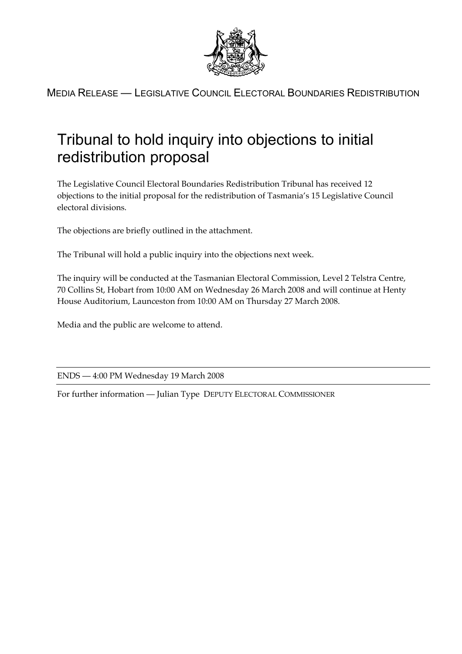

MEDIA RELEASE — LEGISLATIVE COUNCIL ELECTORAL BOUNDARIES REDISTRIBUTION

## Tribunal to hold inquiry into objections to initial redistribution proposal

The Legislative Council Electoral Boundaries Redistribution Tribunal has received 12 objections to the initial proposal for the redistribution of Tasmania's 15 Legislative Council electoral divisions.

The objections are briefly outlined in the attachment.

The Tribunal will hold a public inquiry into the objections next week.

The inquiry will be conducted at the Tasmanian Electoral Commission, Level 2 Telstra Centre, 70 Collins St, Hobart from 10:00 AM on Wednesday 26 March 2008 and will continue at Henty House Auditorium, Launceston from 10:00 AM on Thursday 27 March 2008.

Media and the public are welcome to attend.

ENDS — 4:00 PM Wednesday 19 March 2008

For further information — Julian Type DEPUTY ELECTORAL COMMISSIONER